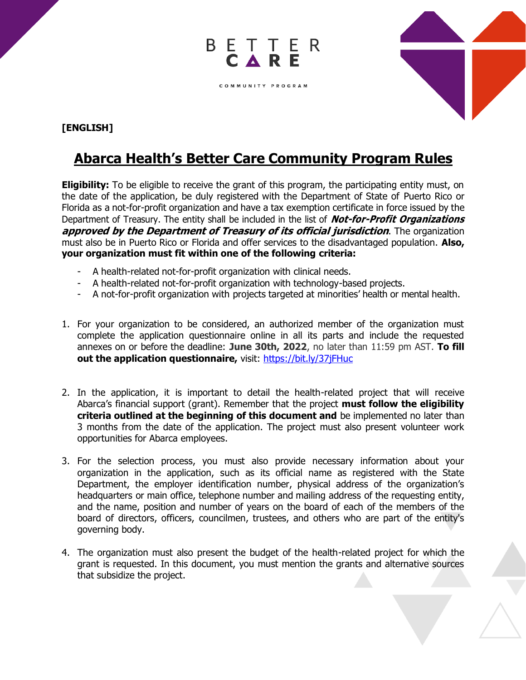

## **[ENGLISH]**

## **Abarca Health's Better Care Community Program Rules**

BETTER

COMMUNITY PROGRAM

**Eligibility:** To be eligible to receive the grant of this program, the participating entity must, on the date of the application, be duly registered with the Department of State of Puerto Rico or Florida as a not-for-profit organization and have a tax exemption certificate in force issued by the Department of Treasury. The entity shall be included in the list of **Not-for-Profit Organizations approved by the Department of Treasury of its official jurisdiction**. The organization must also be in Puerto Rico or Florida and offer services to the disadvantaged population. **Also, your organization must fit within one of the following criteria:**

- A health-related not-for-profit organization with clinical needs.
- A health-related not-for-profit organization with technology-based projects.
- A not-for-profit organization with projects targeted at minorities' health or mental health.
- 1. For your organization to be considered, an authorized member of the organization must complete the application questionnaire online in all its parts and include the requested annexes on or before the deadline: **June 30th, 2022**, no later than 11:59 pm AST. **To fill out the application questionnaire,** visit:<https://bit.ly/37jFHuc>
- 2. In the application, it is important to detail the health-related project that will receive Abarca's financial support (grant). Remember that the project **must follow the eligibility criteria outlined at the beginning of this document and** be implemented no later than 3 months from the date of the application. The project must also present volunteer work opportunities for Abarca employees.
- 3. For the selection process, you must also provide necessary information about your organization in the application, such as its official name as registered with the State Department, the employer identification number, physical address of the organization's headquarters or main office, telephone number and mailing address of the requesting entity, and the name, position and number of years on the board of each of the members of the board of directors, officers, councilmen, trustees, and others who are part of the entity's governing body.
- 4. The organization must also present the budget of the health-related project for which the grant is requested. In this document, you must mention the grants and alternative sources that subsidize the project.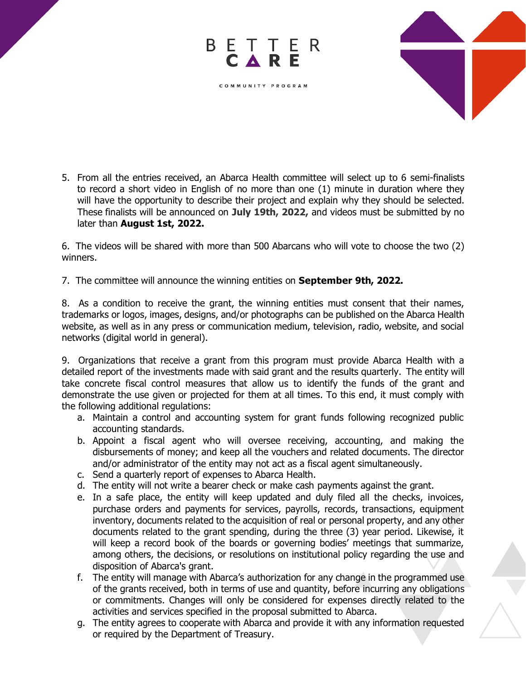

5. From all the entries received, an Abarca Health committee will select up to 6 semi-finalists to record a short video in English of no more than one (1) minute in duration where they will have the opportunity to describe their project and explain why they should be selected. These finalists will be announced on **July 19th, 2022,** and videos must be submitted by no later than **August 1st, 2022.**

BETTER

COMMUNITY PROGRAM

C A

6. The videos will be shared with more than 500 Abarcans who will vote to choose the two (2) winners.

7. The committee will announce the winning entities on **September 9th, 2022.**

8. As a condition to receive the grant, the winning entities must consent that their names, trademarks or logos, images, designs, and/or photographs can be published on the Abarca Health website, as well as in any press or communication medium, television, radio, website, and social networks (digital world in general).

9. Organizations that receive a grant from this program must provide Abarca Health with a detailed report of the investments made with said grant and the results quarterly. The entity will take concrete fiscal control measures that allow us to identify the funds of the grant and demonstrate the use given or projected for them at all times. To this end, it must comply with the following additional regulations:

- a. Maintain a control and accounting system for grant funds following recognized public accounting standards.
- b. Appoint a fiscal agent who will oversee receiving, accounting, and making the disbursements of money; and keep all the vouchers and related documents. The director and/or administrator of the entity may not act as a fiscal agent simultaneously.
- c. Send a quarterly report of expenses to Abarca Health.
- d. The entity will not write a bearer check or make cash payments against the grant.
- e. In a safe place, the entity will keep updated and duly filed all the checks, invoices, purchase orders and payments for services, payrolls, records, transactions, equipment inventory, documents related to the acquisition of real or personal property, and any other documents related to the grant spending, during the three (3) year period. Likewise, it will keep a record book of the boards or governing bodies' meetings that summarize, among others, the decisions, or resolutions on institutional policy regarding the use and disposition of Abarca's grant.
- f. The entity will manage with Abarca's authorization for any change in the programmed use of the grants received, both in terms of use and quantity, before incurring any obligations or commitments. Changes will only be considered for expenses directly related to the activities and services specified in the proposal submitted to Abarca.
- g. The entity agrees to cooperate with Abarca and provide it with any information requested or required by the Department of Treasury.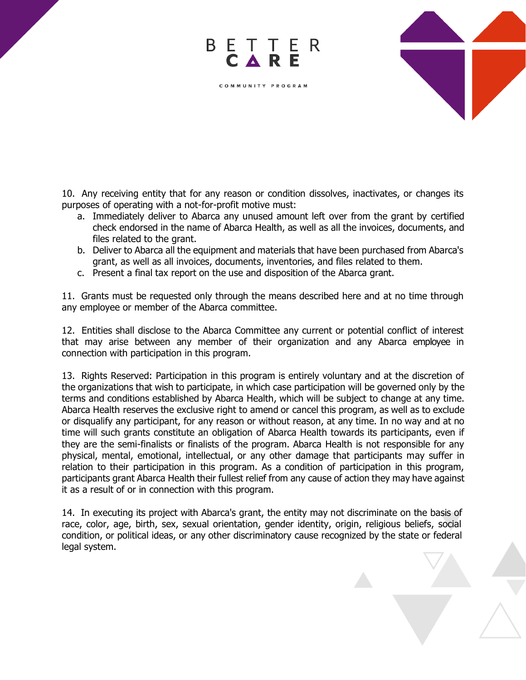

10. Any receiving entity that for any reason or condition dissolves, inactivates, or changes its purposes of operating with a not-for-profit motive must:

BETTER

COMMUNITY PROGRAM

- a. Immediately deliver to Abarca any unused amount left over from the grant by certified check endorsed in the name of Abarca Health, as well as all the invoices, documents, and files related to the grant.
- b. Deliver to Abarca all the equipment and materials that have been purchased from Abarca's grant, as well as all invoices, documents, inventories, and files related to them.
- c. Present a final tax report on the use and disposition of the Abarca grant.

11. Grants must be requested only through the means described here and at no time through any employee or member of the Abarca committee.

12. Entities shall disclose to the Abarca Committee any current or potential conflict of interest that may arise between any member of their organization and any Abarca employee in connection with participation in this program.

13. Rights Reserved: Participation in this program is entirely voluntary and at the discretion of the organizations that wish to participate, in which case participation will be governed only by the terms and conditions established by Abarca Health, which will be subject to change at any time. Abarca Health reserves the exclusive right to amend or cancel this program, as well as to exclude or disqualify any participant, for any reason or without reason, at any time. In no way and at no time will such grants constitute an obligation of Abarca Health towards its participants, even if they are the semi-finalists or finalists of the program. Abarca Health is not responsible for any physical, mental, emotional, intellectual, or any other damage that participants may suffer in relation to their participation in this program. As a condition of participation in this program, participants grant Abarca Health their fullest relief from any cause of action they may have against it as a result of or in connection with this program.

14. In executing its project with Abarca's grant, the entity may not discriminate on the basis of race, color, age, birth, sex, sexual orientation, gender identity, origin, religious beliefs, social condition, or political ideas, or any other discriminatory cause recognized by the state or federal legal system.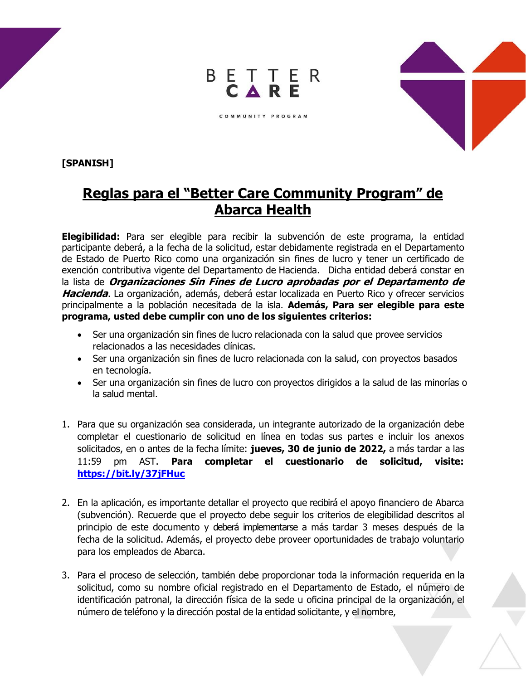

COMMUNITY PROGRAM



**[SPANISH]**

## **Reglas para el "Better Care Community Program" de Abarca Health**

**Elegibilidad:** Para ser elegible para recibir la subvención de este programa, la entidad participante deberá, a la fecha de la solicitud, estar debidamente registrada en el Departamento de Estado de Puerto Rico como una organización sin fines de lucro y tener un certificado de exención contributiva vigente del Departamento de Hacienda. Dicha entidad deberá constar en la lista de **Organizaciones Sin Fines de Lucro aprobadas por el Departamento de Hacienda**. La organización, además, deberá estar localizada en Puerto Rico y ofrecer servicios principalmente a la población necesitada de la isla. **Además, Para ser elegible para este programa, usted debe cumplir con uno de los siguientes criterios:**

- Ser una organización sin fines de lucro relacionada con la salud que provee servicios relacionados a las necesidades clínicas.
- Ser una organización sin fines de lucro relacionada con la salud, con proyectos basados en tecnología.
- Ser una organización sin fines de lucro con proyectos dirigidos a la salud de las minorías o la salud mental.
- 1. Para que su organización sea considerada, un integrante autorizado de la organización debe completar el cuestionario de solicitud en línea en todas sus partes e incluir los anexos solicitados, en o antes de la fecha límite: **jueves, 30 de junio de 2022,** a más tardar a las 11:59 pm AST. **Para completar el cuestionario de solicitud, visite: <https://bit.ly/37jFHuc>**
- 2. En la aplicación, es importante detallar el proyecto que recibirá el apoyo financiero de Abarca (subvención). Recuerde que el proyecto debe seguir los criterios de elegibilidad descritos al principio de este documento y deberá implementarse a más tardar 3 meses después de la fecha de la solicitud. Además, el proyecto debe proveer oportunidades de trabajo voluntario para los empleados de Abarca.
- 3. Para el proceso de selección, también debe proporcionar toda la información requerida en la solicitud, como su nombre oficial registrado en el Departamento de Estado, el número de identificación patronal, la dirección física de la sede u oficina principal de la organización, el número de teléfono y la dirección postal de la entidad solicitante, y el nombre,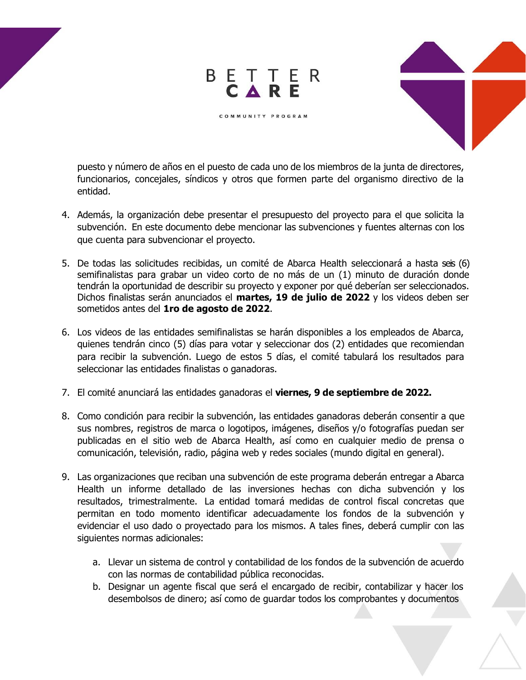

puesto y número de años en el puesto de cada uno de los miembros de la junta de directores, funcionarios, concejales, síndicos y otros que formen parte del organismo directivo de la entidad.

BETTER<br>CARE

COMMUNITY PROGRAM

- 4. Además, la organización debe presentar el presupuesto del proyecto para el que solicita la subvención. En este documento debe mencionar las subvenciones y fuentes alternas con los que cuenta para subvencionar el proyecto.
- 5. De todas las solicitudes recibidas, un comité de Abarca Health seleccionará a hasta seis (6) semifinalistas para grabar un video corto de no más de un (1) minuto de duración donde tendrán la oportunidad de describir su proyecto y exponer por qué deberían ser seleccionados. Dichos finalistas serán anunciados el **martes, 19 de julio de 2022** y los videos deben ser sometidos antes del **1ro de agosto de 2022**.
- 6. Los videos de las entidades semifinalistas se harán disponibles a los empleados de Abarca, quienes tendrán cinco (5) días para votar y seleccionar dos (2) entidades que recomiendan para recibir la subvención. Luego de estos 5 días, el comité tabulará los resultados para seleccionar las entidades finalistas o ganadoras.
- 7. El comité anunciará las entidades ganadoras el **viernes, 9 de septiembre de 2022.**
- 8. Como condición para recibir la subvención, las entidades ganadoras deberán consentir a que sus nombres, registros de marca o logotipos, imágenes, diseños y/o fotografías puedan ser publicadas en el sitio web de Abarca Health, así como en cualquier medio de prensa o comunicación, televisión, radio, página web y redes sociales (mundo digital en general).
- 9. Las organizaciones que reciban una subvención de este programa deberán entregar a Abarca Health un informe detallado de las inversiones hechas con dicha subvención y los resultados, trimestralmente. La entidad tomará medidas de control fiscal concretas que permitan en todo momento identificar adecuadamente los fondos de la subvención y evidenciar el uso dado o proyectado para los mismos. A tales fines, deberá cumplir con las siguientes normas adicionales:
	- a. Llevar un sistema de control y contabilidad de los fondos de la subvención de acuerdo con las normas de contabilidad pública reconocidas.
	- b. Designar un agente fiscal que será el encargado de recibir, contabilizar y hacer los desembolsos de dinero; así como de guardar todos los comprobantes y documentos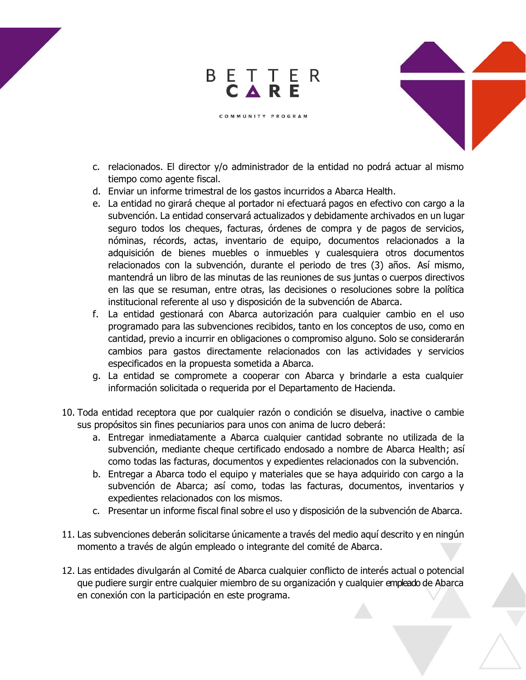## BETTER<br>CARE

c. relacionados. El director y/o administrador de la entidad no podrá actuar al mismo tiempo como agente fiscal.

COMMUNITY PROGRAM

- d. Enviar un informe trimestral de los gastos incurridos a Abarca Health.
- e. La entidad no girará cheque al portador ni efectuará pagos en efectivo con cargo a la subvención. La entidad conservará actualizados y debidamente archivados en un lugar seguro todos los cheques, facturas, órdenes de compra y de pagos de servicios, nóminas, récords, actas, inventario de equipo, documentos relacionados a la adquisición de bienes muebles o inmuebles y cualesquiera otros documentos relacionados con la subvención, durante el periodo de tres (3) años. Así mismo, mantendrá un libro de las minutas de las reuniones de sus juntas o cuerpos directivos en las que se resuman, entre otras, las decisiones o resoluciones sobre la política institucional referente al uso y disposición de la subvención de Abarca.
- f. La entidad gestionará con Abarca autorización para cualquier cambio en el uso programado para las subvenciones recibidos, tanto en los conceptos de uso, como en cantidad, previo a incurrir en obligaciones o compromiso alguno. Solo se considerarán cambios para gastos directamente relacionados con las actividades y servicios especificados en la propuesta sometida a Abarca.
- g. La entidad se compromete a cooperar con Abarca y brindarle a esta cualquier información solicitada o requerida por el Departamento de Hacienda.
- 10. Toda entidad receptora que por cualquier razón o condición se disuelva, inactive o cambie sus propósitos sin fines pecuniarios para unos con anima de lucro deberá:
	- a. Entregar inmediatamente a Abarca cualquier cantidad sobrante no utilizada de la subvención, mediante cheque certificado endosado a nombre de Abarca Health; así como todas las facturas, documentos y expedientes relacionados con la subvención.
	- b. Entregar a Abarca todo el equipo y materiales que se haya adquirido con cargo a la subvención de Abarca; así como, todas las facturas, documentos, inventarios y expedientes relacionados con los mismos.
	- c. Presentar un informe fiscal final sobre el uso y disposición de la subvención de Abarca.
- 11. Las subvenciones deberán solicitarse únicamente a través del medio aquí descrito y en ningún momento a través de algún empleado o integrante del comité de Abarca.
- 12. Las entidades divulgarán al Comité de Abarca cualquier conflicto de interés actual o potencial que pudiere surgir entre cualquier miembro de su organización y cualquier empleado de Abarca en conexión con la participación en este programa.